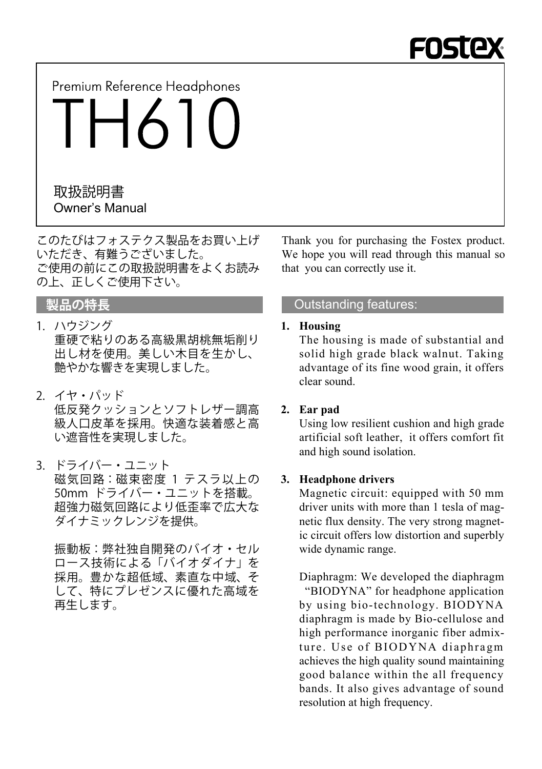

Premium Reference Headphones

TH610

## Owner's Manual 取扱説明書

このたびはフォステクス製品をお買い上げ いただき、有難うございました。 ご使用の前にこの取扱説明書をよくお読み の上、正しくご使用下さい。

- 1. ハウジング 重硬で粘りのある高級黒胡桃無垢削り 出し材を使用。美しい木目を生かし、 艶やかな響きを実現しました。
- 2. イヤ・パッド 低反発クッションとソフトレザー調高 級人口皮革を採用。快適な装着感と高 い遮音性を実現しました。
- 3. ドライバー・ユニット 磁気回路:磁束密度 1 テスラ以上の 50mm ドライバー・ユニットを搭載。 超強力磁気回路により低歪率で広大な ダイナミックレンジを提供。

 振動板:弊社独自開発のバイオ・セル ロース技術による「バイオダイナ」を 採用。豊かな超低域、素直な中域、そ して、特にプレゼンスに優れた高域を 再生します。

Thank you for purchasing the Fostex product. We hope you will read through this manual so that you can correctly use it.

## **製品の特長 Outstanding features:**

#### **1. Housing**

 The housing is made of substantial and solid high grade black walnut. Taking advantage of its fine wood grain, it offers clear sound.

### **2. Ear pad**

 Using low resilient cushion and high grade artificial soft leather, it offers comfort fit and high sound isolation.

### **3. Headphone drivers**

 Magnetic circuit: equipped with 50 mm driver units with more than 1 tesla of magnetic flux density. The very strong magnetic circuit offers low distortion and superbly wide dynamic range.

 Diaphragm: We developed the diaphragm "BIODYNA" for headphone application by using bio-technology. BIODYNA diaphragm is made by Bio-cellulose and high performance inorganic fiber admixture. Use of BIODYNA diaphragm achieves the high quality sound maintaining good balance within the all frequency bands. It also gives advantage of sound resolution at high frequency.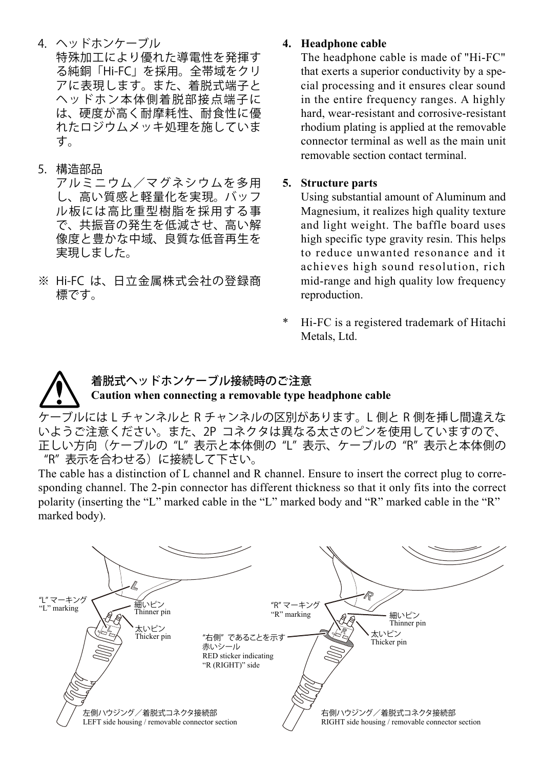4. ヘッドホンケーブル 特殊加工により優れた導電性を発揮す る純銅「Hi-FC」を採用。全帯域をクリ アに表現します。また、着脱式端子と ヘッドホン本体側着脱部接点端子に は、硬度が高く耐摩耗性、耐食性に優 れたロジウムメッキ処理を施していま す。

#### 5. 構造部品

 アルミニウム/マグネシウムを多用 し、高い質感と軽量化を実現。バッフ ル板には高比重型樹脂を採用する事 で、共振音の発生を低減させ、高い解 像度と豊かな中域、良質な低音再生を 実現しました。

※ Hi-FC は、日立金属株式会社の登録商 標です。

#### **4. Headphone cable**

 The headphone cable is made of "Hi-FC" that exerts a superior conductivity by a special processing and it ensures clear sound in the entire frequency ranges. A highly hard, wear-resistant and corrosive-resistant rhodium plating is applied at the removable connector terminal as well as the main unit removable section contact terminal.

### **5. Structure parts**

Using substantial amount of Aluminum and Magnesium, it realizes high quality texture and light weight. The baffle board uses high specific type gravity resin. This helps to reduce unwanted resonance and it achieves high sound resolution, rich mid-range and high quality low frequency reproduction.

Hi-FC is a registered trademark of Hitachi Metals, Ltd.

## 着脱式ヘッドホンケーブル接続時のご注意 **Caution when connecting a removable type headphone cable**

ケーブルには L チャンネルと R チャンネルの区別があります。L 側と R 側を挿し間違えな いようご注意ください。また、2P コネクタは異なる太さのピンを使用していますので、 正しい方向(ケーブルの "L" 表示と本体側の "L" 表示、ケーブルの "R" 表示と本体側の "R" 表示を合わせる)に接続して下さい。

The cable has a distinction of L channel and R channel. Ensure to insert the correct plug to corresponding channel. The 2-pin connector has different thickness so that it only fits into the correct polarity (inserting the "L" marked cable in the "L" marked body and "R" marked cable in the "R" marked body).

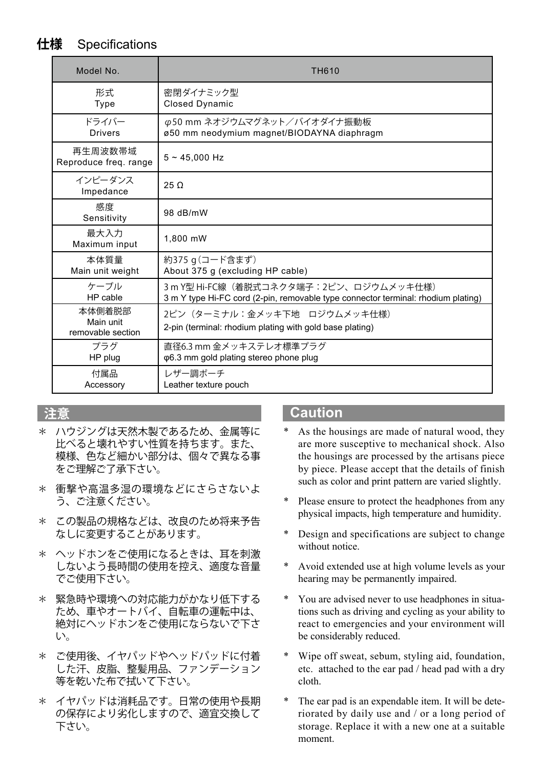## **仕様** Specifications

| Model No.                                | <b>TH610</b>                                                                             |
|------------------------------------------|------------------------------------------------------------------------------------------|
| 形式                                       | 密閉ダイナミック型                                                                                |
| Type                                     | <b>Closed Dynamic</b>                                                                    |
| ドライバー                                    | φ50 mm ネオジウムマグネット/バイオダイナ振動板                                                              |
| <b>Drivers</b>                           | ø50 mm neodymium magnet/BIODAYNA diaphragm                                               |
| 再生周波数帯域<br>Reproduce freq. range         | $5 - 45.000$ Hz                                                                          |
| インピーダンス<br>Impedance                     | $25 \Omega$                                                                              |
| 感度<br>Sensitivity                        | 98 dB/mW                                                                                 |
| 最大入力<br>Maximum input                    | 1.800 mW                                                                                 |
| 本体質量                                     | 約375 g (コード含まず)                                                                          |
| Main unit weight                         | About 375 q (excluding HP cable)                                                         |
| ケーブル                                     | 3m Y型 Hi-FC線(着脱式コネクタ端子:2ピン、ロジウムメッキ仕様)                                                    |
| HP cable                                 | 3 m Y type Hi-FC cord (2-pin, removable type connector terminal: rhodium plating)        |
| 本体側着脱部<br>Main unit<br>removable section | 2ピン (ターミナル:金メッキ下地 ロジウムメッキ仕様)<br>2-pin (terminal: rhodium plating with gold base plating) |
| プラグ                                      | 直径6.3 mm 金メッキステレオ標準プラグ                                                                   |
| HP plug                                  | φ6.3 mm gold plating stereo phone plug                                                   |
| 付属品                                      | レザー調ポーチ                                                                                  |
| Accessory                                | Leather texture pouch                                                                    |

- \* ハウジングは天然木製であるため、金属等に 比べると壊れやすい性質を持ちます。また、 模様、色など細かい部分は、個々で異なる事 をご理解ご了承下さい。
- \* 衝撃や高温多湿の環境などにさらさないよ う、ご注意ください。
- \* この製品の規格などは、改良のため将来予告 なしに変更することがあります。
- \* ヘッドホンをご使用になるときは、耳を刺激 しないよう長時間の使用を控え、適度な音量 でご使用下さい。
- \* 緊急時や環境への対応能力がかなり低下する ため、車やオートバイ、自転車の運転中は、 絶対にヘッドホンをご使用にならないで下さ い。
- ご使用後、イヤパッドやヘッドパッドに付着 した汗、皮脂、整髪用品、ファンデーション 等を乾いた布で拭いて下さい。
- \* イヤパッドは消耗品です。日常の使用や長期 の保存により劣化しますので、適宜交換して 下さい。

## **注意 Caution**

- As the housings are made of natural wood, they are more susceptive to mechanical shock. Also the housings are processed by the artisans piece by piece. Please accept that the details of finish such as color and print pattern are varied slightly.
- Please ensure to protect the headphones from any physical impacts, high temperature and humidity.
- Design and specifications are subject to change without notice.
- Avoid extended use at high volume levels as your hearing may be permanently impaired.
- You are advised never to use headphones in situations such as driving and cycling as your ability to react to emergencies and your environment will be considerably reduced.
- Wipe off sweat, sebum, styling aid, foundation, etc. attached to the ear pad / head pad with a dry cloth.
- The ear pad is an expendable item. It will be deteriorated by daily use and / or a long period of storage. Replace it with a new one at a suitable moment.